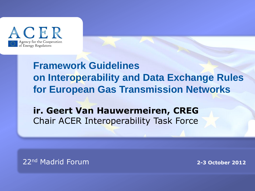

## **Framework Guidelines on Interoperability and Data Exchange Rules for European Gas Transmission Networks**

### **ir. Geert Van Hauwermeiren, CREG** Chair ACER Interoperability Task Force

22nd Madrid Forum

**TITRE 2-3 October 2012**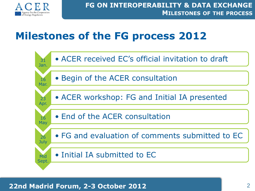

## **Milestones of the FG process 2012**

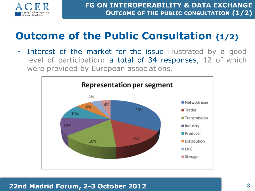

# **Outcome of the Public Consultation (1/2)**

• Interest of the market for the issue illustrated by a good level of participation: a total of 34 responses, 12 of which were provided by European associations.

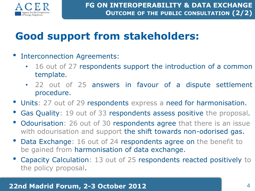

# **Good support from stakeholders:**

- Interconnection Agreements:
	- 16 out of 27 respondents support the introduction of a common template.
	- 22 out of 25 answers in favour of a dispute settlement procedure.
- Units: 27 out of 29 respondents express a need for harmonisation.
- Gas Quality: 19 out of 33 respondents assess positive the proposal.
- Odourisation: 26 out of 30 respondents agree that there is an issue with odourisation and support the shift towards non-odorised gas.
- Data Exchange: 16 out of 24 respondents agree on the benefit to be gained from harmonisation of data exchange.
- Capacity Calculation: 13 out of 25 respondents reacted positively to the policy proposal.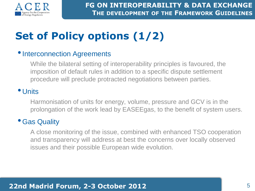

# **Set of Policy options (1/2)**

#### **•Interconnection Agreements**

While the bilateral setting of interoperability principles is favoured, the imposition of default rules in addition to a specific dispute settlement procedure will preclude protracted negotiations between parties.

#### • Units

Harmonisation of units for energy, volume, pressure and GCV is in the prolongation of the work lead by EASEEgas, to the benefit of system users.

#### •Gas Quality

A close monitoring of the issue, combined with enhanced TSO cooperation and transparency will address at best the concerns over locally observed issues and their possible European wide evolution.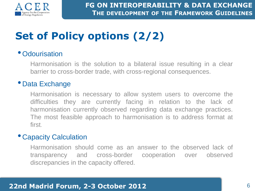

# **Set of Policy options (2/2)**

#### • Odourisation

Harmonisation is the solution to a bilateral issue resulting in a clear barrier to cross-border trade, with cross-regional consequences.

#### • Data Exchange

Harmonisation is necessary to allow system users to overcome the difficulties they are currently facing in relation to the lack of harmonisation currently observed regarding data exchange practices. The most feasible approach to harmonisation is to address format at first.

#### • Capacity Calculation

Harmonisation should come as an answer to the observed lack of transparency and cross-border cooperation over observed discrepancies in the capacity offered.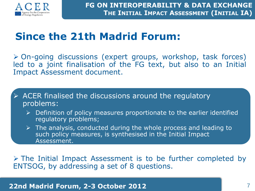

# **Since the 21th Madrid Forum:**

 On-going discussions (expert groups, workshop, task forces) led to a joint finalisation of the FG text, but also to an Initial Impact Assessment document.

 ACER finalised the discussions around the regulatory problems:

- $\triangleright$  Definition of policy measures proportionate to the earlier identified regulatory problems;
- $\triangleright$  The analysis, conducted during the whole process and leading to such policy measures, is synthesised in the Initial Impact Assessment.

 $\triangleright$  The Initial Impact Assessment is to be further completed by ENTSOG, by addressing a set of 8 questions.